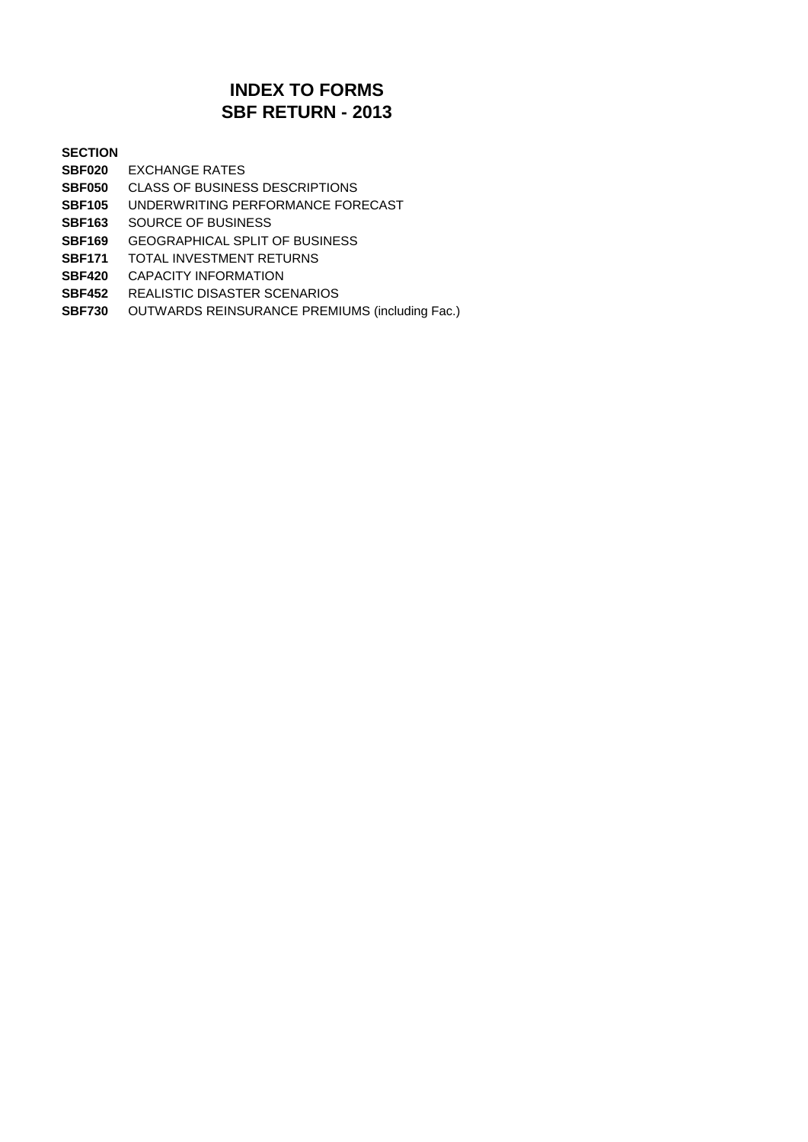### **SBF RETURN - 2013 INDEX TO FORMS**

#### **SECTION**

- **SBF020** EXCHANGE RATES
- **SBF050** CLASS OF BUSINESS DESCRIPTIONS
- **SBF105** UNDERWRITING PERFORMANCE FORECAST
- **SBF163** SOURCE OF BUSINESS
- **SBF169** GEOGRAPHICAL SPLIT OF BUSINESS
- **SBF171** TOTAL INVESTMENT RETURNS
- **SBF420** CAPACITY INFORMATION
- **SBF452** REALISTIC DISASTER SCENARIOS
- **SBF730** OUTWARDS REINSURANCE PREMIUMS (including Fac.)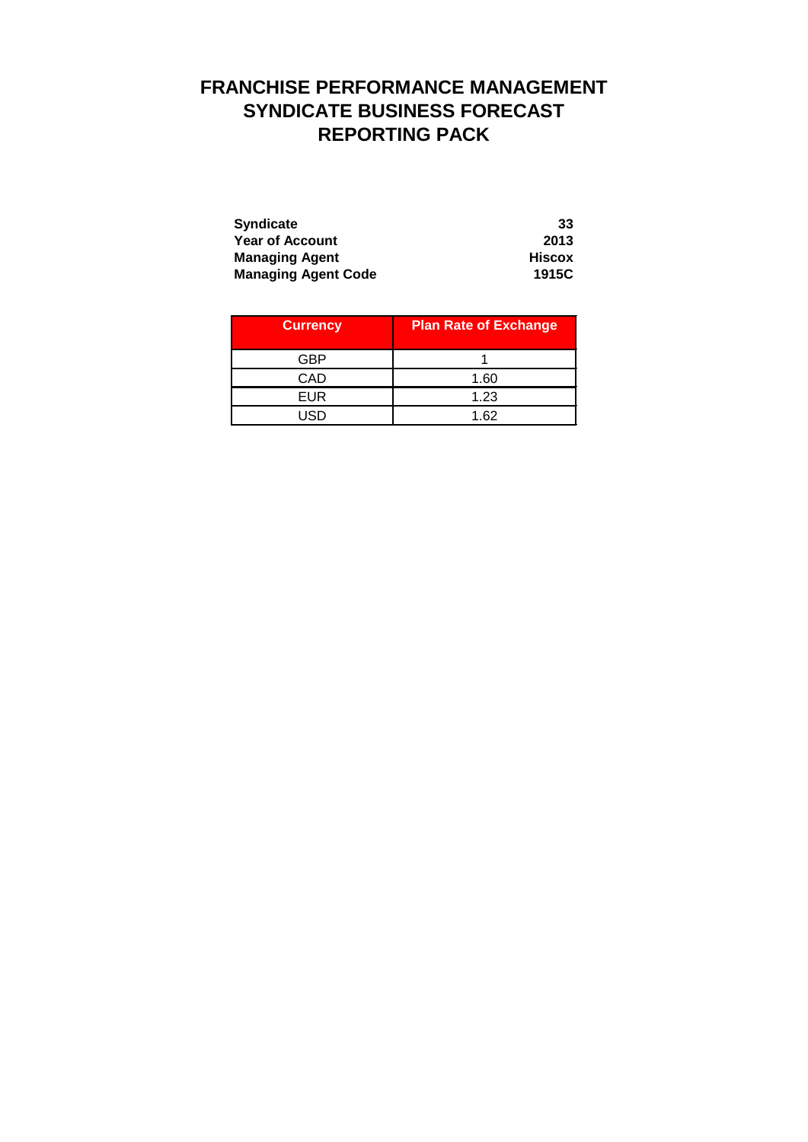# **FRANCHISE PERFORMANCE MANAGEMENT SYNDICATE BUSINESS FORECAST REPORTING PACK**

| <b>Syndicate</b>           | 33     |
|----------------------------|--------|
| <b>Year of Account</b>     | 2013   |
| <b>Managing Agent</b>      | Hiscox |
| <b>Managing Agent Code</b> | 1915C  |

| <b>Currency</b> | <b>Plan Rate of Exchange</b> |  |
|-----------------|------------------------------|--|
| GBP             |                              |  |
| CAD             | 1.60                         |  |
| EUR             | 1.23                         |  |
| USD             | 1.62                         |  |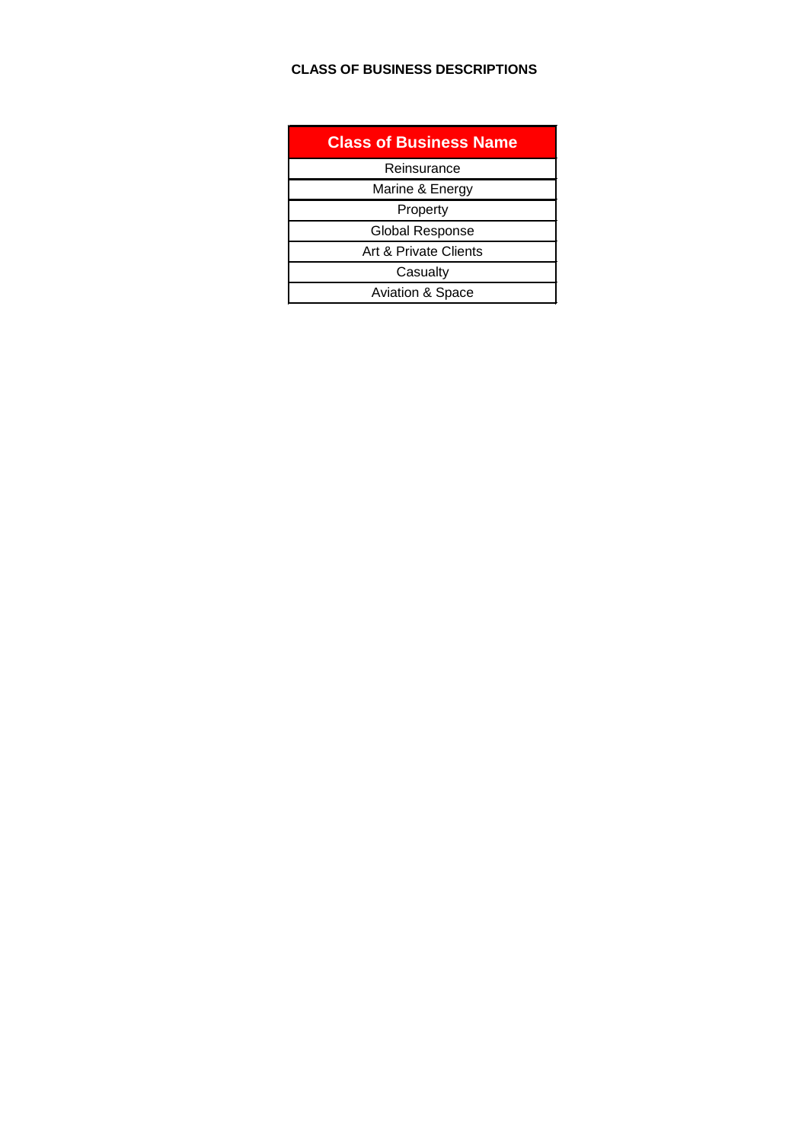### **CLASS OF BUSINESS DESCRIPTIONS**

| <b>Class of Business Name</b> |
|-------------------------------|
| Reinsurance                   |
| Marine & Energy               |
| Property                      |
| <b>Global Response</b>        |
| Art & Private Clients         |
| Casualty                      |
| <b>Aviation &amp; Space</b>   |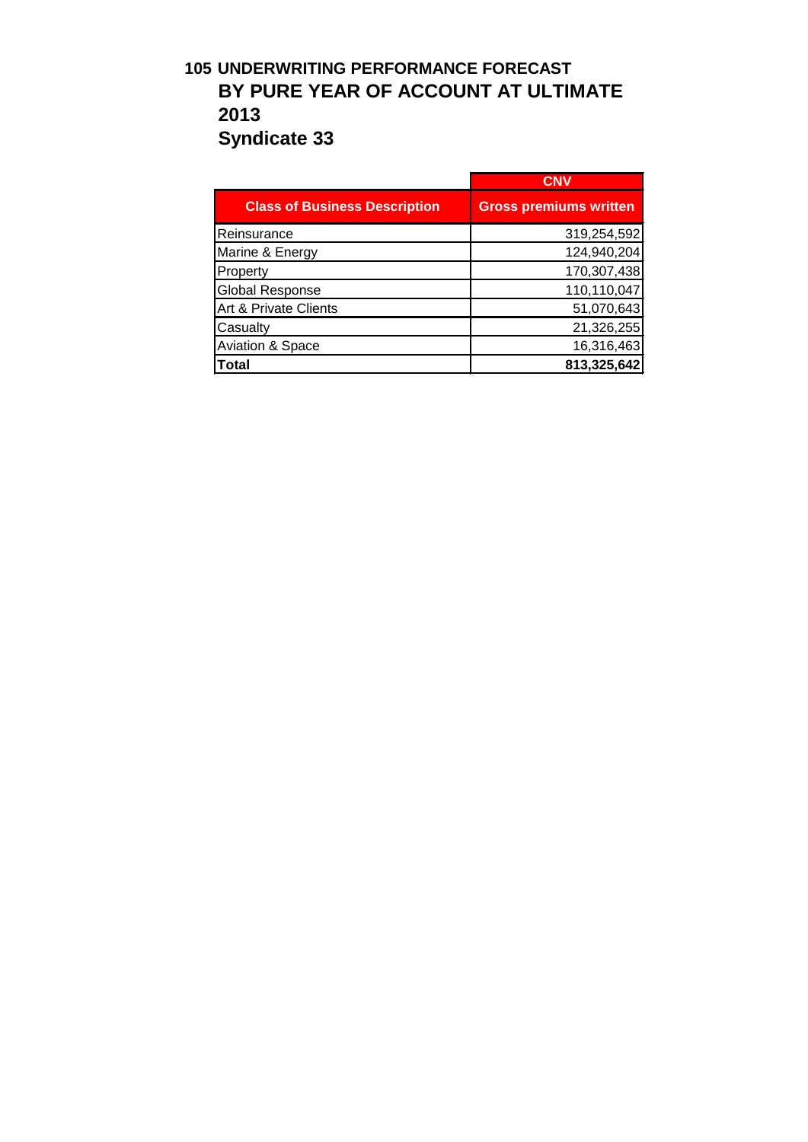## **105 UNDERWRITING PERFORMANCE FORECAST BY PURE YEAR OF ACCOUNT AT ULTIMATE 2013 Syndicate 33**

|                                      | CNV                           |
|--------------------------------------|-------------------------------|
| <b>Class of Business Description</b> | <b>Gross premiums written</b> |
| Reinsurance                          | 319,254,592                   |
| Marine & Energy                      | 124,940,204                   |
| Property                             | 170,307,438                   |
| <b>Global Response</b>               | 110,110,047                   |
| Art & Private Clients                | 51,070,643                    |
| Casualty                             | 21,326,255                    |
| <b>Aviation &amp; Space</b>          | 16,316,463                    |
| <b>Total</b>                         | 813,325,642                   |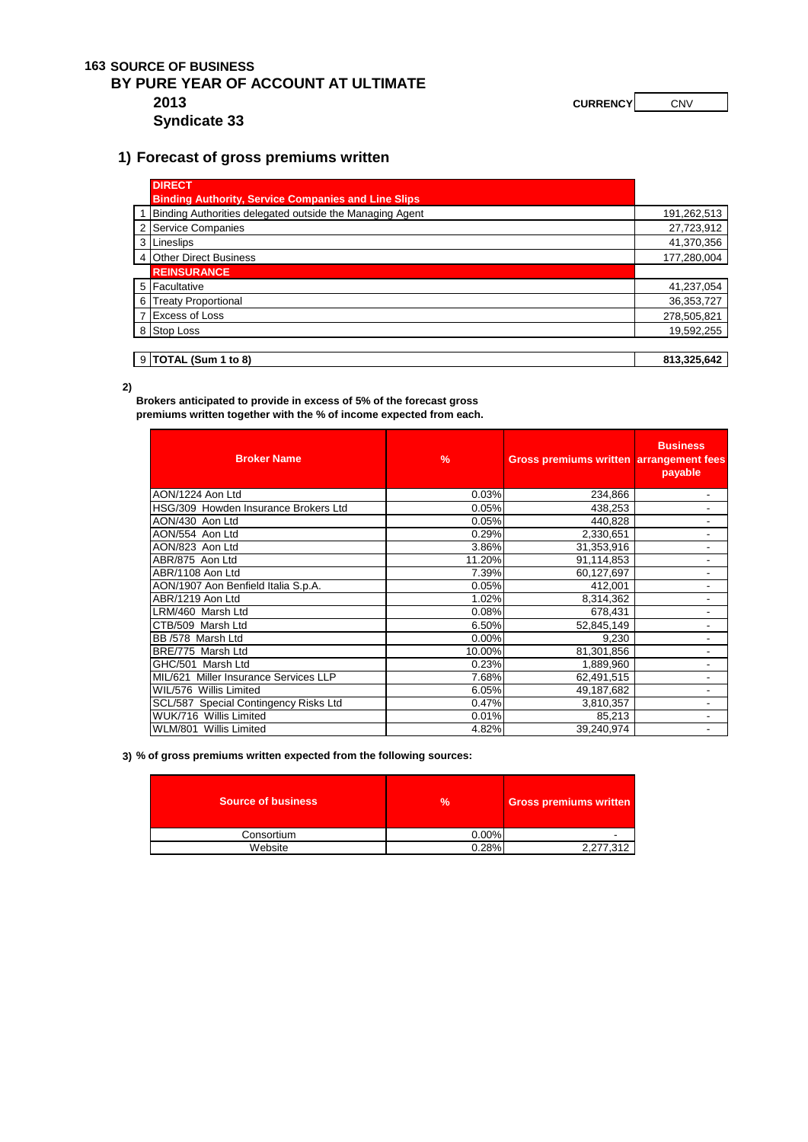#### **163 SOURCE OF BUSINESS**

### **BY PURE YEAR OF ACCOUNT AT ULTIMATE 2013 CURRENCY CURRENCY CNV**

**Syndicate 33**

### **1) Forecast of gross premiums written**

|   | <b>DIRECT</b>                                              |             |
|---|------------------------------------------------------------|-------------|
|   | <b>Binding Authority, Service Companies and Line Slips</b> |             |
|   | 1 Binding Authorities delegated outside the Managing Agent | 191,262,513 |
|   | 2 Service Companies                                        | 27,723,912  |
|   | 3 Lineslips                                                | 41,370,356  |
|   | 4 Other Direct Business                                    | 177,280,004 |
|   | <b>REINSURANCE</b>                                         |             |
|   | 5 Facultative                                              | 41,237,054  |
| 6 | <b>Treaty Proportional</b>                                 | 36,353,727  |
|   | 7 Excess of Loss                                           | 278,505,821 |
|   | 8 Stop Loss                                                | 19,592,255  |
|   |                                                            |             |
|   | $9$ TOTAL (Sum 1 to 8)                                     | 813,325,642 |

**2)**

**Brokers anticipated to provide in excess of 5% of the forecast gross premiums written together with the % of income expected from each.** 

| <b>Broker Name</b>                    | $\%$     | Gross premiums written arrangement fees | <b>Business</b><br>payable |
|---------------------------------------|----------|-----------------------------------------|----------------------------|
| AON/1224 Aon Ltd                      | 0.03%    | 234,866                                 | $\blacksquare$             |
| HSG/309 Howden Insurance Brokers Ltd  | 0.05%    | 438,253                                 | $\overline{\phantom{a}}$   |
| AON/430 Aon Ltd                       | 0.05%    | 440.828                                 |                            |
| AON/554 Aon Ltd                       | 0.29%    | 2,330,651                               |                            |
| AON/823 Aon Ltd                       | 3.86%    | 31,353,916                              |                            |
| ABR/875 Aon Ltd                       | 11.20%   | 91,114,853                              |                            |
| ABR/1108 Aon Ltd                      | 7.39%    | 60,127,697                              | $\overline{\phantom{a}}$   |
| AON/1907 Aon Benfield Italia S.p.A.   | 0.05%    | 412,001                                 |                            |
| ABR/1219 Aon Ltd                      | 1.02%    | 8,314,362                               | $\overline{\phantom{0}}$   |
| LRM/460 Marsh Ltd                     | 0.08%    | 678,431                                 |                            |
| CTB/509 Marsh Ltd                     | 6.50%    | 52,845,149                              |                            |
| BB /578 Marsh Ltd                     | $0.00\%$ | 9,230                                   | $\overline{\phantom{a}}$   |
| BRE/775 Marsh Ltd                     | 10.00%   | 81,301,856                              | $\overline{\phantom{a}}$   |
| GHC/501 Marsh Ltd                     | 0.23%    | 1,889,960                               | $\overline{\phantom{a}}$   |
| MIL/621 Miller Insurance Services LLP | 7.68%    | 62,491,515                              |                            |
| WIL/576 Willis Limited                | 6.05%    | 49,187,682                              |                            |
| SCL/587 Special Contingency Risks Ltd | 0.47%    | 3,810,357                               | $\blacksquare$             |
| WUK/716 Willis Limited                | 0.01%    | 85,213                                  | $\overline{\phantom{a}}$   |
| WLM/801 Willis Limited                | 4.82%    | 39,240,974                              | $\overline{a}$             |

**3) % of gross premiums written expected from the following sources:**

| <b>Source of business</b> | $\frac{9}{6}$ | <b>Gross premiums written</b> |
|---------------------------|---------------|-------------------------------|
| Consortium                | 0.00%         |                               |
| Website                   | 0.28%         | 2.277.312                     |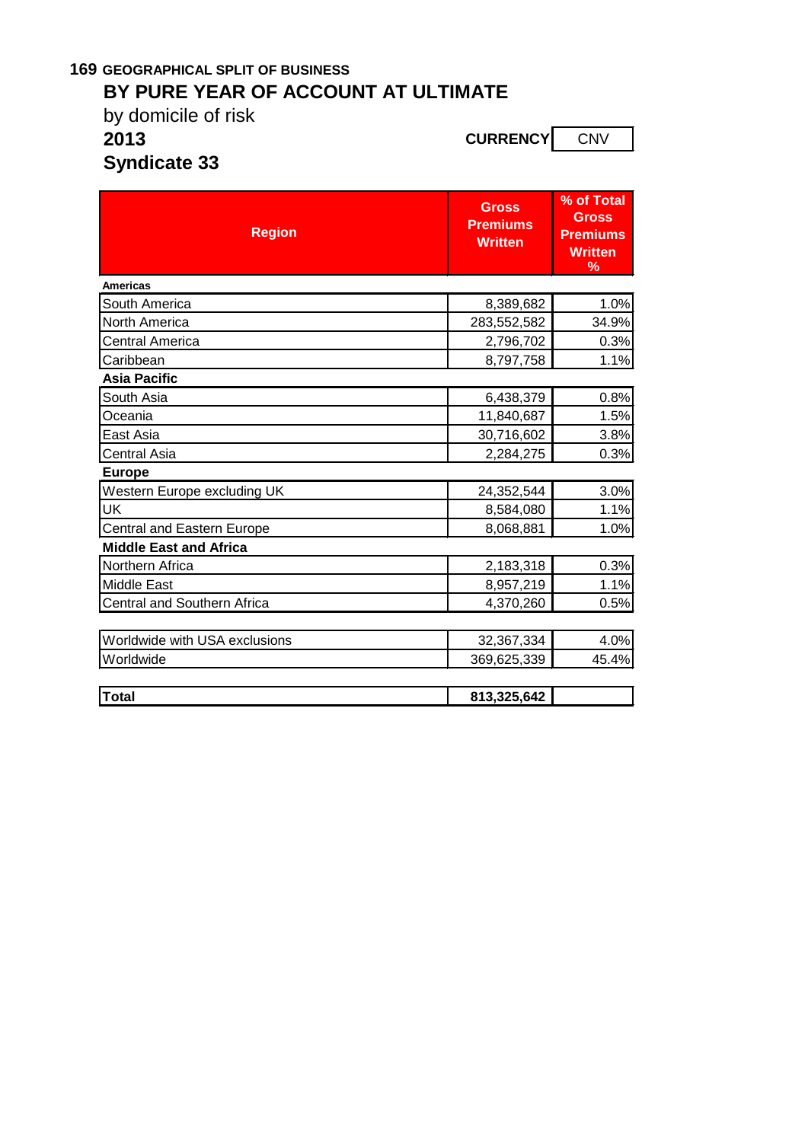# **169 GEOGRAPHICAL SPLIT OF BUSINESS**

# **BY PURE YEAR OF ACCOUNT AT ULTIMATE**

by domicile of risk<br>2013

**2013 CURRENCY** CNV

**Syndicate 33**

| <b>Region</b>                     | <b>Gross</b><br><b>Premiums</b><br><b>Written</b> | % of Total<br><b>Gross</b><br><b>Premiums</b><br><b>Written</b><br>% |
|-----------------------------------|---------------------------------------------------|----------------------------------------------------------------------|
| <b>Americas</b>                   |                                                   |                                                                      |
| South America                     | 8,389,682                                         | 1.0%                                                                 |
| <b>North America</b>              | 283,552,582                                       | 34.9%                                                                |
| Central America                   | 2,796,702                                         | 0.3%                                                                 |
| Caribbean                         | 8,797,758                                         | 1.1%                                                                 |
| <b>Asia Pacific</b>               |                                                   |                                                                      |
| South Asia                        | 6,438,379                                         | 0.8%                                                                 |
| Oceania                           | 11,840,687                                        | 1.5%                                                                 |
| East Asia                         | 30,716,602                                        | 3.8%                                                                 |
| Central Asia                      | 2,284,275                                         | 0.3%                                                                 |
| <b>Europe</b>                     |                                                   |                                                                      |
| Western Europe excluding UK       | 24,352,544                                        | 3.0%                                                                 |
| UK                                | 8,584,080                                         | 1.1%                                                                 |
| <b>Central and Eastern Europe</b> | 8,068,881                                         | 1.0%                                                                 |
| <b>Middle East and Africa</b>     |                                                   |                                                                      |
| Northern Africa                   | 2,183,318                                         | 0.3%                                                                 |
| <b>Middle East</b>                | 8,957,219                                         | 1.1%                                                                 |
| Central and Southern Africa       | 4,370,260                                         | 0.5%                                                                 |
|                                   |                                                   |                                                                      |
| Worldwide with USA exclusions     | 32,367,334                                        | 4.0%                                                                 |
| Worldwide                         | 369,625,339                                       | 45.4%                                                                |
|                                   |                                                   |                                                                      |
| <b>Total</b>                      | 813,325,642                                       |                                                                      |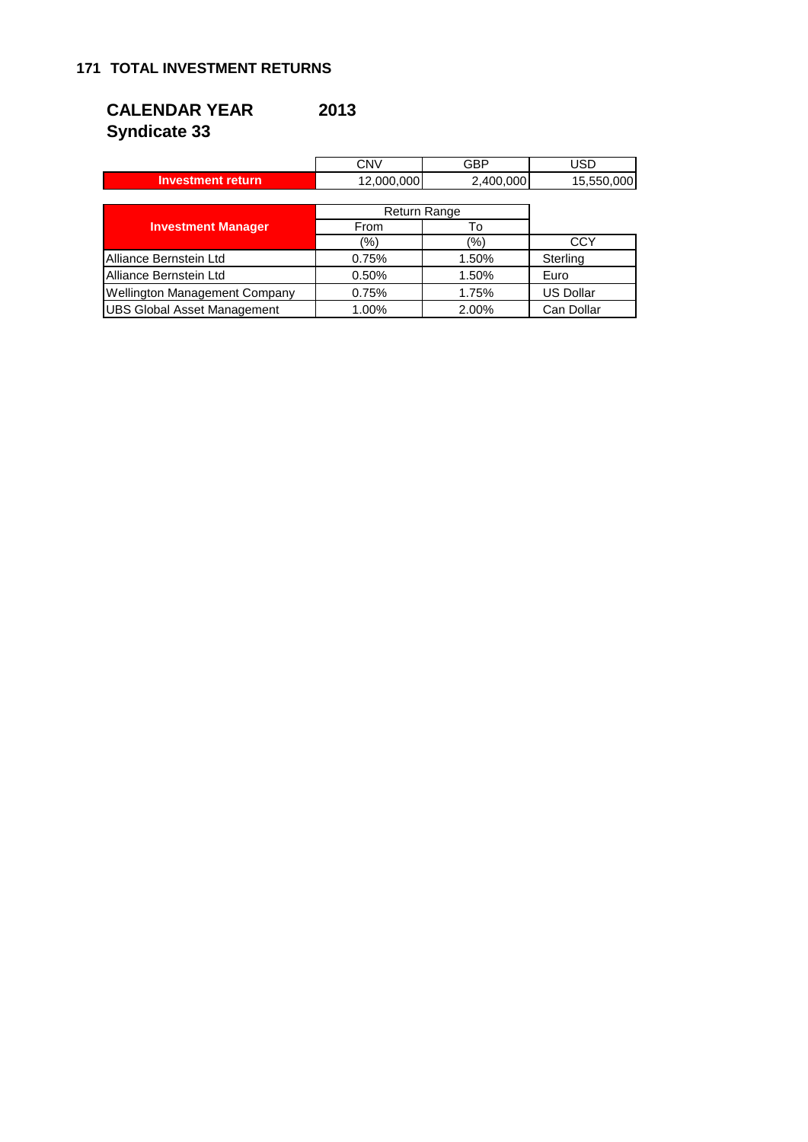### **CALENDAR YEAR 2013 Syndicate 33**

|                                    | <b>CNV</b>          | GBP       | USD              |  |
|------------------------------------|---------------------|-----------|------------------|--|
| <b>Investment return</b>           | 12,000,000          | 2,400,000 | 15,550,000       |  |
|                                    |                     |           |                  |  |
|                                    | <b>Return Range</b> |           |                  |  |
| <b>Investment Manager</b>          | From                | To        |                  |  |
|                                    | (%)                 | (%)       | CCY              |  |
| Alliance Bernstein Ltd             | 0.75%               | 1.50%     | Sterling         |  |
| Alliance Bernstein Ltd             | 0.50%               | 1.50%     | Euro             |  |
| Wellington Management Company      | 0.75%               | 1.75%     | <b>US Dollar</b> |  |
| <b>UBS Global Asset Management</b> | 1.00%               | 2.00%     | Can Dollar       |  |

 $\overline{r}$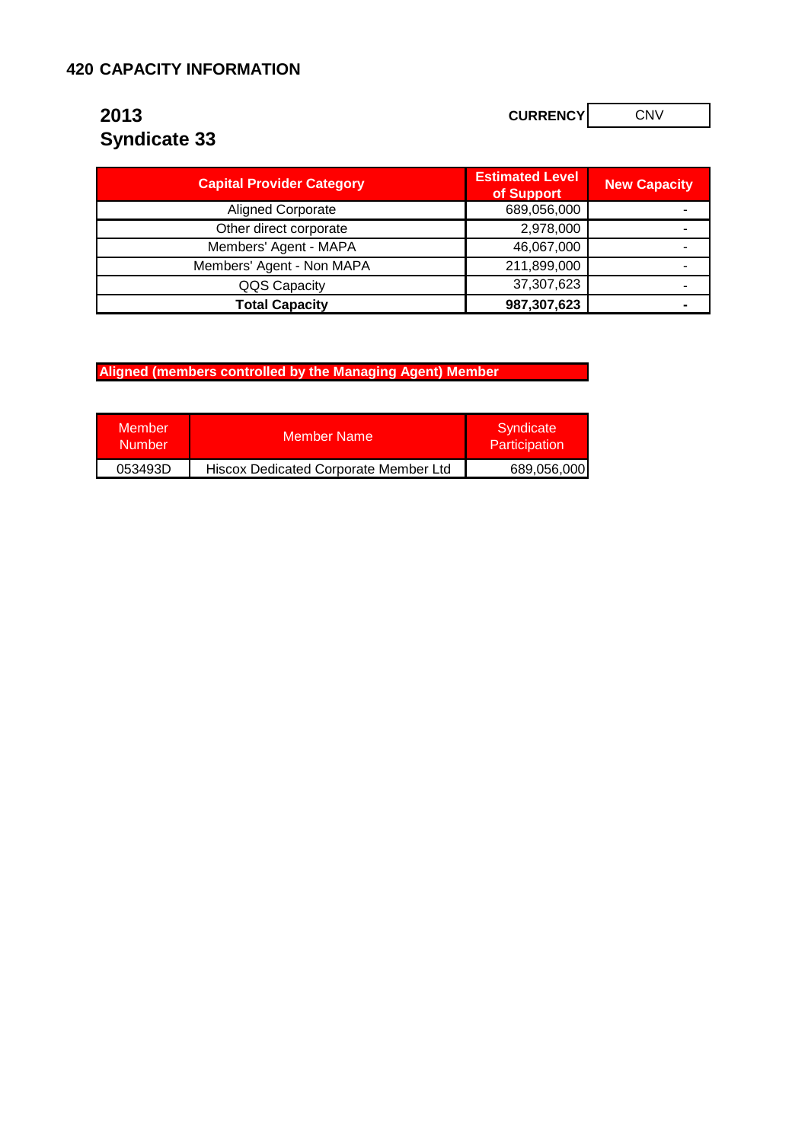### **420 CAPACITY INFORMATION**

# **Syndicate 33**

**2013 CURRENCY** CONV

| <b>Capital Provider Category</b> | <b>Estimated Level</b><br>of Support | <b>New Capacity</b> |
|----------------------------------|--------------------------------------|---------------------|
| <b>Aligned Corporate</b>         | 689,056,000                          |                     |
| Other direct corporate           | 2,978,000                            |                     |
| Members' Agent - MAPA            | 46,067,000                           |                     |
| Members' Agent - Non MAPA        | 211,899,000                          |                     |
| QQS Capacity                     | 37,307,623                           |                     |
| <b>Total Capacity</b>            | 987,307,623                          |                     |

**Aligned (members controlled by the Managing Agent) Member** 

| <b>Member</b><br><b>Number</b> | <b>Member Name</b>                    | Syndicate<br>Participation |
|--------------------------------|---------------------------------------|----------------------------|
| 053493D                        | Hiscox Dedicated Corporate Member Ltd | 689,056,000                |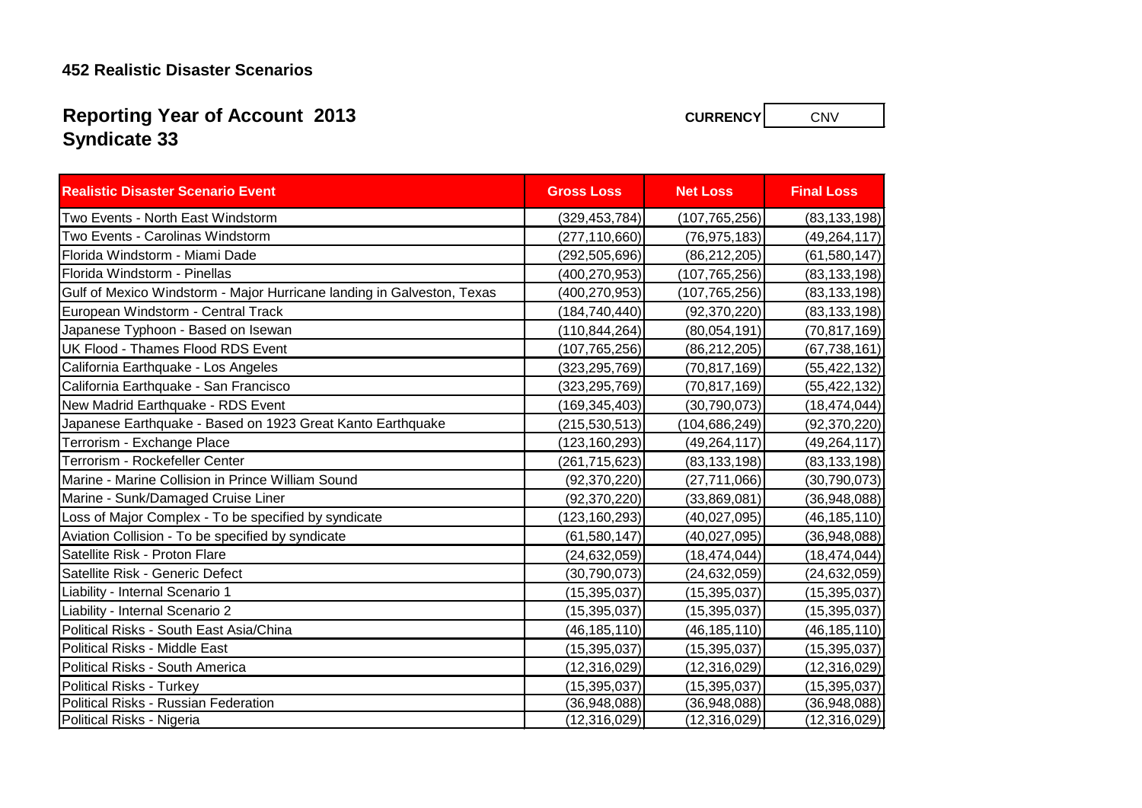### **452 Realistic Disaster Scenarios**

# **Syndicate 33 Reporting Year of Account 2013**

| <b>Realistic Disaster Scenario Event</b>                               | <b>Gross Loss</b> | <b>Net Loss</b> | <b>Final Loss</b> |
|------------------------------------------------------------------------|-------------------|-----------------|-------------------|
| Two Events - North East Windstorm                                      | (329, 453, 784)   | (107, 765, 256) | (83, 133, 198)    |
| Two Events - Carolinas Windstorm                                       | (277, 110, 660)   | (76, 975, 183)  | (49, 264, 117)    |
| Florida Windstorm - Miami Dade                                         | (292,505,696)     | (86, 212, 205)  | (61, 580, 147)    |
| Florida Windstorm - Pinellas                                           | (400, 270, 953)   | (107, 765, 256) | (83, 133, 198)    |
| Gulf of Mexico Windstorm - Major Hurricane landing in Galveston, Texas | (400,270,953)     | (107, 765, 256) | (83, 133, 198)    |
| European Windstorm - Central Track                                     | (184, 740, 440)   | (92, 370, 220)  | (83, 133, 198)    |
| Japanese Typhoon - Based on Isewan                                     | (110, 844, 264)   | (80,054,191)    | (70, 817, 169)    |
| UK Flood - Thames Flood RDS Event                                      | (107, 765, 256)   | (86, 212, 205)  | (67, 738, 161)    |
| California Earthquake - Los Angeles                                    | (323,295,769)     | (70, 817, 169)  | (55, 422, 132)    |
| California Earthquake - San Francisco                                  | (323, 295, 769)   | (70, 817, 169)  | (55, 422, 132)    |
| New Madrid Earthquake - RDS Event                                      | (169,345,403)     | (30, 790, 073)  | (18, 474, 044)    |
| Japanese Earthquake - Based on 1923 Great Kanto Earthquake             | (215, 530, 513)   | (104, 686, 249) | (92, 370, 220)    |
| Terrorism - Exchange Place                                             | (123, 160, 293)   | (49, 264, 117)  | (49, 264, 117)    |
| Terrorism - Rockefeller Center                                         | (261, 715, 623)   | (83, 133, 198)  | (83, 133, 198)    |
| Marine - Marine Collision in Prince William Sound                      | (92, 370, 220)    | (27, 711, 066)  | (30, 790, 073)    |
| Marine - Sunk/Damaged Cruise Liner                                     | (92, 370, 220)    | (33,869,081)    | (36, 948, 088)    |
| Loss of Major Complex - To be specified by syndicate                   | (123, 160, 293)   | (40,027,095)    | (46, 185, 110)    |
| Aviation Collision - To be specified by syndicate                      | (61, 580, 147)    | (40,027,095)    | (36,948,088)      |
| Satellite Risk - Proton Flare                                          | (24, 632, 059)    | (18, 474, 044)  | (18, 474, 044)    |
| Satellite Risk - Generic Defect                                        | (30, 790, 073)    | (24, 632, 059)  | (24, 632, 059)    |
| Liability - Internal Scenario 1                                        | (15, 395, 037)    | (15, 395, 037)  | (15, 395, 037)    |
| Liability - Internal Scenario 2                                        | (15, 395, 037)    | (15, 395, 037)  | (15, 395, 037)    |
| Political Risks - South East Asia/China                                | (46, 185, 110)    | (46, 185, 110)  | (46, 185, 110)    |
| Political Risks - Middle East                                          | (15, 395, 037)    | (15, 395, 037)  | (15, 395, 037)    |
| Political Risks - South America                                        | (12, 316, 029)    | (12, 316, 029)  | (12, 316, 029)    |
| <b>Political Risks - Turkey</b>                                        | (15, 395, 037)    | (15, 395, 037)  | (15, 395, 037)    |
| <b>Political Risks - Russian Federation</b>                            | (36,948,088)      | (36,948,088)    | (36, 948, 088)    |
| Political Risks - Nigeria                                              | (12, 316, 029)    | (12, 316, 029)  | (12, 316, 029)    |

**CURRENCY** CNV